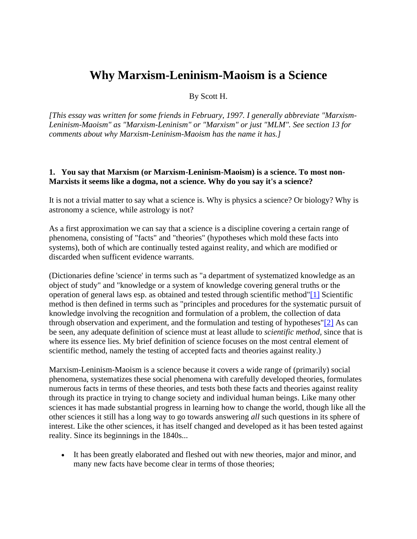# **Why Marxism-Leninism-Maoism is a Science**

By Scott H.

*[This essay was written for some friends in February, 1997. I generally abbreviate "Marxism-Leninism-Maoism" as "Marxism-Leninism" or "Marxism" or just "MLM". See section 13 for comments about why Marxism-Leninism-Maoism has the name it has.]*

#### **1. You say that Marxism (or Marxism-Leninism-Maoism) is a science. To most non-Marxists it seems like a dogma, not a science. Why do you say it's a science?**

It is not a trivial matter to say what a science is. Why is physics a science? Or biology? Why is astronomy a science, while astrology is not?

As a first approximation we can say that a science is a discipline covering a certain range of phenomena, consisting of "facts" and "theories" (hypotheses which mold these facts into systems), both of which are continually tested against reality, and which are modified or discarded when sufficent evidence warrants.

(Dictionaries define 'science' in terms such as "a department of systematized knowledge as an object of study" and "knowledge or a system of knowledge covering general truths or the operation of general laws esp. as obtained and tested through scientific method["\[1\]](https://www.massline.org/Philosophy/ScottH/MLM_sci.htm#n1) Scientific method is then defined in terms such as "principles and procedures for the systematic pursuit of knowledge involving the recognition and formulation of a problem, the collection of data through observation and experiment, and the formulation and testing of hypotheses["\[2\]](https://www.massline.org/Philosophy/ScottH/MLM_sci.htm#n2) As can be seen, any adequate definition of science must at least allude to *scientific method,* since that is where its essence lies. My brief definition of science focuses on the most central element of scientific method, namely the testing of accepted facts and theories against reality.)

Marxism-Leninism-Maoism is a science because it covers a wide range of (primarily) social phenomena, systematizes these social phenomena with carefully developed theories, formulates numerous facts in terms of these theories, and tests both these facts and theories against reality through its practice in trying to change society and individual human beings. Like many other sciences it has made substantial progress in learning how to change the world, though like all the other sciences it still has a long way to go towards answering *all* such questions in its sphere of interest. Like the other sciences, it has itself changed and developed as it has been tested against reality. Since its beginnings in the 1840s...

• It has been greatly elaborated and fleshed out with new theories, major and minor, and many new facts have become clear in terms of those theories;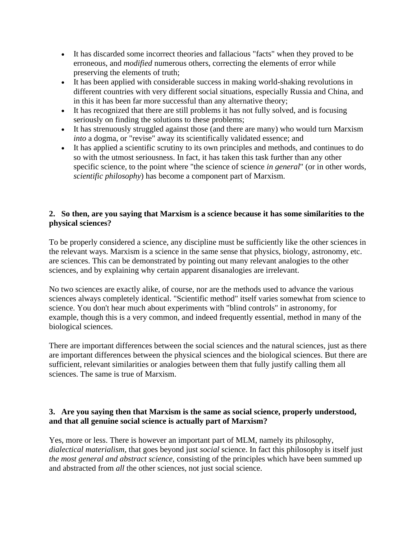- It has discarded some incorrect theories and fallacious "facts" when they proved to be erroneous, and *modified* numerous others, correcting the elements of error while preserving the elements of truth;
- It has been applied with considerable success in making world-shaking revolutions in different countries with very different social situations, especially Russia and China, and in this it has been far more successful than any alternative theory;
- It has recognized that there are still problems it has not fully solved, and is focusing seriously on finding the solutions to these problems;
- It has strenuously struggled against those (and there are many) who would turn Marxism *into* a dogma, or "revise" away its scientifically validated essence; and
- It has applied a scientific scrutiny to its own principles and methods, and continues to do so with the utmost seriousness. In fact, it has taken this task further than any other specific science, to the point where "the science of science *in general*" (or in other words, *scientific philosophy*) has become a component part of Marxism.

# **2. So then, are you saying that Marxism is a science because it has some similarities to the physical sciences?**

To be properly considered a science, any discipline must be sufficiently like the other sciences in the relevant ways. Marxism is a science in the same sense that physics, biology, astronomy, etc. are sciences. This can be demonstrated by pointing out many relevant analogies to the other sciences, and by explaining why certain apparent disanalogies are irrelevant.

No two sciences are exactly alike, of course, nor are the methods used to advance the various sciences always completely identical. "Scientific method" itself varies somewhat from science to science. You don't hear much about experiments with "blind controls" in astronomy, for example, though this is a very common, and indeed frequently essential, method in many of the biological sciences.

There are important differences between the social sciences and the natural sciences, just as there are important differences between the physical sciences and the biological sciences. But there are sufficient, relevant similarities or analogies between them that fully justify calling them all sciences. The same is true of Marxism.

# **3. Are you saying then that Marxism is the same as social science, properly understood, and that all genuine social science is actually part of Marxism?**

Yes, more or less. There is however an important part of MLM, namely its philosophy, *dialectical materialism,* that goes beyond just *social* science. In fact this philosophy is itself just *the most general and abstract science,* consisting of the principles which have been summed up and abstracted from *all* the other sciences, not just social science.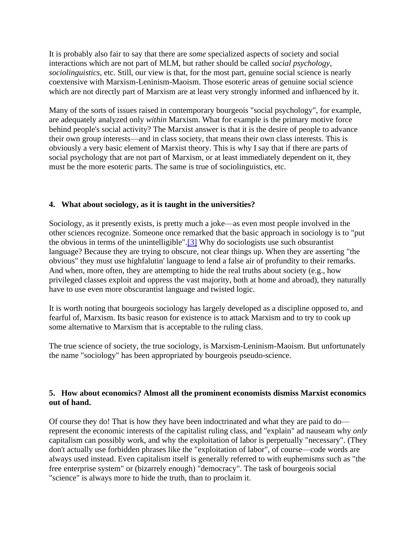It is probably also fair to say that there are *some* specialized aspects of society and social interactions which are not part of MLM, but rather should be called *social psychology, sociolinguistics,* etc. Still, our view is that, for the most part, genuine social science is nearly coextensive with Marxism-Leninism-Maoism. Those esoteric areas of genuine social science which are not directly part of Marxism are at least very strongly informed and influenced by it.

Many of the sorts of issues raised in contemporary bourgeois "social psychology", for example, are adequately analyzed only *within* Marxism. What for example is the primary motive force behind people's social activity? The Marxist answer is that it is the desire of people to advance their own group interests—and in class society, that means their own class interests. This is obviously a very basic element of Marxist theory. This is why I say that if there are parts of social psychology that are not part of Marxism, or at least immediately dependent on it, they must be the more esoteric parts. The same is true of sociolinguistics, etc.

# **4. What about sociology, as it is taught in the universities?**

Sociology, as it presently exists, is pretty much a joke—as even most people involved in the other sciences recognize. Someone once remarked that the basic approach in sociology is to "put the obvious in terms of the unintelligible". $[3]$  Why do sociologists use such obsurantist language? Because they are trying to obscure, not clear things up. When they are asserting "the obvious" they must use highfalutin' language to lend a false air of profundity to their remarks. And when, more often, they are attempting to hide the real truths about society (e.g., how privileged classes exploit and oppress the vast majority, both at home and abroad), they naturally have to use even more obscurantist language and twisted logic.

It is worth noting that bourgeois sociology has largely developed as a discipline opposed to, and fearful of, Marxism. Its basic reason for existence is to attack Marxism and to try to cook up some alternative to Marxism that is acceptable to the ruling class.

The true science of society, the true sociology, is Marxism-Leninism-Maoism. But unfortunately the name "sociology" has been appropriated by bourgeois pseudo-science.

# **5. How about economics? Almost all the prominent economists dismiss Marxist economics out of hand.**

Of course they do! That is how they have been indoctrinated and what they are paid to do represent the economic interests of the capitalist ruling class, and "explain" ad nauseam why *only* capitalism can possibly work, and why the exploitation of labor is perpetually "necessary". (They don't actually use forbidden phrases like the "exploitation of labor", of course—code words are always used instead. Even capitalism itself is generally referred to with euphemisms such as "the free enterprise system" or (bizarrely enough) "democracy". The task of bourgeois social "science" is always more to hide the truth, than to proclaim it.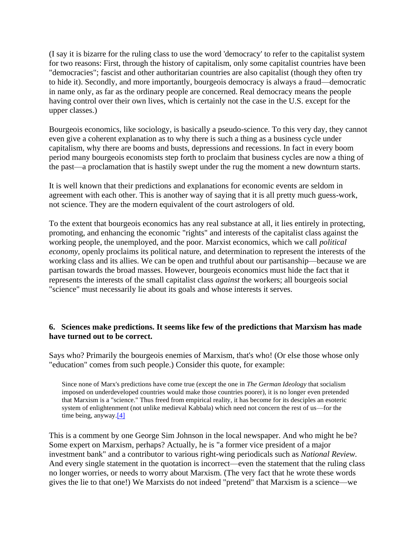(I say it is bizarre for the ruling class to use the word 'democracy' to refer to the capitalist system for two reasons: First, through the history of capitalism, only some capitalist countries have been "democracies"; fascist and other authoritarian countries are also capitalist (though they often try to hide it). Secondly, and more importantly, bourgeois democracy is always a fraud—democratic in name only, as far as the ordinary people are concerned. Real democracy means the people having control over their own lives, which is certainly not the case in the U.S. except for the upper classes.)

Bourgeois economics, like sociology, is basically a pseudo-science. To this very day, they cannot even give a coherent explanation as to why there is such a thing as a business cycle under capitalism, why there are booms and busts, depressions and recessions. In fact in every boom period many bourgeois economists step forth to proclaim that business cycles are now a thing of the past—a proclamation that is hastily swept under the rug the moment a new downturn starts.

It is well known that their predictions and explanations for economic events are seldom in agreement with each other. This is another way of saying that it is all pretty much guess-work, not science. They are the modern equivalent of the court astrologers of old.

To the extent that bourgeois economics has any real substance at all, it lies entirely in protecting, promoting, and enhancing the economic "rights" and interests of the capitalist class against the working people, the unemployed, and the poor. Marxist economics, which we call *political economy,* openly proclaims its political nature, and determination to represent the interests of the working class and its allies. We can be open and truthful about our partisanship—because we are partisan towards the broad masses. However, bourgeois economics must hide the fact that it represents the interests of the small capitalist class *against* the workers; all bourgeois social "science" must necessarily lie about its goals and whose interests it serves.

#### **6. Sciences make predictions. It seems like few of the predictions that Marxism has made have turned out to be correct.**

Says who? Primarily the bourgeois enemies of Marxism, that's who! (Or else those whose only "education" comes from such people.) Consider this quote, for example:

Since none of Marx's predictions have come true (except the one in *The German Ideology* that socialism imposed on underdeveloped countries would make those countries poorer), it is no longer even pretended that Marxism is a "science." Thus freed from empirical reality, it has become for its desciples an esoteric system of enlightenment (not unlike medieval Kabbala) which need not concern the rest of us—for the time being, anyway.<sup>[4]</sup>

This is a comment by one George Sim Johnson in the local newspaper. And who might he be? Some expert on Marxism, perhaps? Actually, he is "a former vice president of a major investment bank" and a contributor to various right-wing periodicals such as *National Review.* And every single statement in the quotation is incorrect—even the statement that the ruling class no longer worries, or needs to worry about Marxism. (The very fact that he wrote these words gives the lie to that one!) We Marxists do not indeed "pretend" that Marxism is a science—we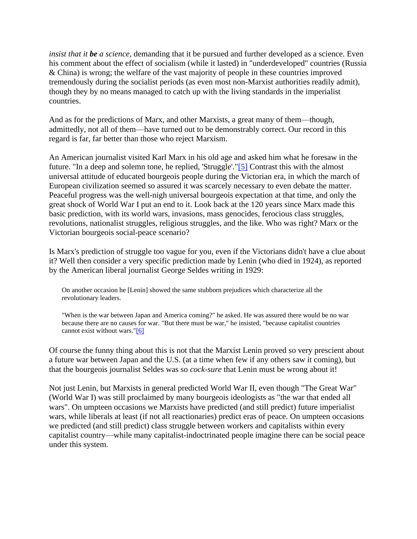*insist that it be a science,* demanding that it be pursued and further developed as a science. Even his comment about the effect of socialism (while it lasted) in "underdeveloped" countries (Russia & China) is wrong; the welfare of the vast majority of people in these countries improved tremendously during the socialist periods (as even most non-Marxist authorities readily admit), though they by no means managed to catch up with the living standards in the imperialist countries.

And as for the predictions of Marx, and other Marxists, a great many of them—though, admittedly, not all of them—have turned out to be demonstrably correct. Our record in this regard is far, far better than those who reject Marxism.

An American journalist visited Karl Marx in his old age and asked him what he foresaw in the future. "In a deep and solemn tone, he replied, 'Struggle'.["\[5\]](https://www.massline.org/Philosophy/ScottH/MLM_sci.htm#n5) Contrast this with the almost universal attitude of educated bourgeois people during the Victorian era, in which the march of European civilization seemed so assured it was scarcely necessary to even debate the matter. Peaceful progress was the well-nigh universal bourgeois expectation at that time, and only the great shock of World War I put an end to it. Look back at the 120 years since Marx made this basic prediction, with its world wars, invasions, mass genocides, ferocious class struggles, revolutions, nationalist struggles, religious struggles, and the like. Who was right? Marx or the Victorian bourgeois social-peace scenario?

Is Marx's prediction of struggle too vague for you, even if the Victorians didn't have a clue about it? Well then consider a very specific prediction made by Lenin (who died in 1924), as reported by the American liberal journalist George Seldes writing in 1929:

On another occasion he [Lenin] showed the same stubborn prejudices which characterize all the revolutionary leaders.

"When is the war between Japan and America coming?" he asked. He was assured there would be no war because there are no causes for war. "But there must be war," he insisted, "because capitalist countries cannot exist without wars.["\[6\]](https://www.massline.org/Philosophy/ScottH/MLM_sci.htm#n6)

Of course the funny thing about this is not that the Marxist Lenin proved so very prescient about a future war between Japan and the U.S. (at a time when few if any others saw it coming), but that the bourgeois journalist Seldes was so *cock-sure* that Lenin must be wrong about it!

Not just Lenin, but Marxists in general predicted World War II, even though "The Great War" (World War I) was still proclaimed by many bourgeois ideologists as "the war that ended all wars". On umpteen occasions we Marxists have predicted (and still predict) future imperialist wars, while liberals at least (if not all reactionaries) predict eras of peace. On umpteen occasions we predicted (and still predict) class struggle between workers and capitalists within every capitalist country—while many capitalist-indoctrinated people imagine there can be social peace under this system.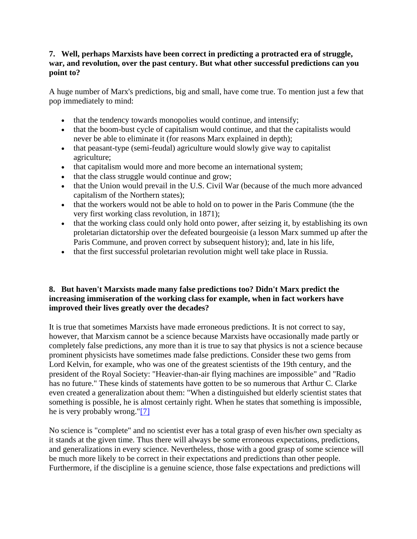#### **7. Well, perhaps Marxists have been correct in predicting a protracted era of struggle, war, and revolution, over the past century. But what other successful predictions can you point to?**

A huge number of Marx's predictions, big and small, have come true. To mention just a few that pop immediately to mind:

- that the tendency towards monopolies would continue, and intensify;
- that the boom-bust cycle of capitalism would continue, and that the capitalists would never be able to eliminate it (for reasons Marx explained in depth);
- that peasant-type (semi-feudal) agriculture would slowly give way to capitalist agriculture;
- that capitalism would more and more become an international system;
- that the class struggle would continue and grow;
- that the Union would prevail in the U.S. Civil War (because of the much more advanced capitalism of the Northern states);
- that the workers would not be able to hold on to power in the Paris Commune (the the very first working class revolution, in 1871);
- that the working class could only hold onto power, after seizing it, by establishing its own proletarian dictatorship over the defeated bourgeoisie (a lesson Marx summed up after the Paris Commune, and proven correct by subsequent history); and, late in his life,
- that the first successful proletarian revolution might well take place in Russia.

# **8. But haven't Marxists made many false predictions too? Didn't Marx predict the increasing immiseration of the working class for example, when in fact workers have improved their lives greatly over the decades?**

It is true that sometimes Marxists have made erroneous predictions. It is not correct to say, however, that Marxism cannot be a science because Marxists have occasionally made partly or completely false predictions, any more than it is true to say that physics is not a science because prominent physicists have sometimes made false predictions. Consider these two gems from Lord Kelvin, for example, who was one of the greatest scientists of the 19th century, and the president of the Royal Society: "Heavier-than-air flying machines are impossible" and "Radio has no future." These kinds of statements have gotten to be so numerous that Arthur C. Clarke even created a generalization about them: "When a distinguished but elderly scientist states that something is possible, he is almost certainly right. When he states that something is impossible, he is very probably wrong.["\[7\]](https://www.massline.org/Philosophy/ScottH/MLM_sci.htm#n7)

No science is "complete" and no scientist ever has a total grasp of even his/her own specialty as it stands at the given time. Thus there will always be some erroneous expectations, predictions, and generalizations in every science. Nevertheless, those with a good grasp of some science will be much more likely to be correct in their expectations and predictions than other people. Furthermore, if the discipline is a genuine science, those false expectations and predictions will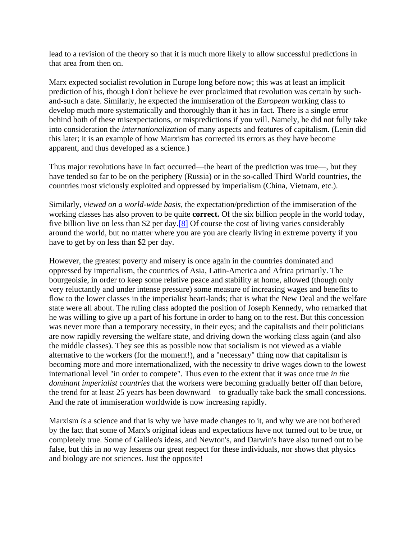lead to a revision of the theory so that it is much more likely to allow successful predictions in that area from then on.

Marx expected socialist revolution in Europe long before now; this was at least an implicit prediction of his, though I don't believe he ever proclaimed that revolution was certain by suchand-such a date. Similarly, he expected the immiseration of the *European* working class to develop much more systematically and thoroughly than it has in fact. There is a single error behind both of these misexpectations, or mispredictions if you will. Namely, he did not fully take into consideration the *internationalization* of many aspects and features of capitalism. (Lenin did this later; it is an example of how Marxism has corrected its errors as they have become apparent, and thus developed as a science.)

Thus major revolutions have in fact occurred—the heart of the prediction was true—, but they have tended so far to be on the periphery (Russia) or in the so-called Third World countries, the countries most viciously exploited and oppressed by imperialism (China, Vietnam, etc.).

Similarly, *viewed on a world-wide basis,* the expectation/prediction of the immiseration of the working classes has also proven to be quite **correct.** Of the six billion people in the world today, five billion live on less than \$2 per day[.\[8\]](https://www.massline.org/Philosophy/ScottH/MLM_sci.htm#n8) Of course the cost of living varies considerably around the world, but no matter where you are you are clearly living in extreme poverty if you have to get by on less than \$2 per day.

However, the greatest poverty and misery is once again in the countries dominated and oppressed by imperialism, the countries of Asia, Latin-America and Africa primarily. The bourgeoisie, in order to keep some relative peace and stability at home, allowed (though only very reluctantly and under intense pressure) some measure of increasing wages and benefits to flow to the lower classes in the imperialist heart-lands; that is what the New Deal and the welfare state were all about. The ruling class adopted the position of Joseph Kennedy, who remarked that he was willing to give up a part of his fortune in order to hang on to the rest. But this concession was never more than a temporary necessity, in their eyes; and the capitalists and their politicians are now rapidly reversing the welfare state, and driving down the working class again (and also the middle classes). They see this as possible now that socialism is not viewed as a viable alternative to the workers (for the moment!), and a "necessary" thing now that capitalism is becoming more and more internationalized, with the necessity to drive wages down to the lowest international level "in order to compete". Thus even to the extent that it was once true *in the dominant imperialist countries* that the workers were becoming gradually better off than before, the trend for at least 25 years has been downward—to gradually take back the small concessions. And the rate of immiseration worldwide is now increasing rapidly.

Marxism *is* a science and that is why we have made changes to it, and why we are not bothered by the fact that some of Marx's original ideas and expectations have not turned out to be true, or completely true. Some of Galileo's ideas, and Newton's, and Darwin's have also turned out to be false, but this in no way lessens our great respect for these individuals, nor shows that physics and biology are not sciences. Just the opposite!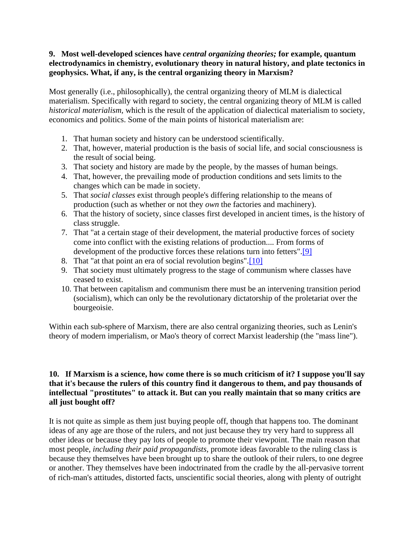#### **9. Most well-developed sciences have** *central organizing theories;* **for example, quantum electrodynamics in chemistry, evolutionary theory in natural history, and plate tectonics in geophysics. What, if any, is the central organizing theory in Marxism?**

Most generally (i.e., philosophically), the central organizing theory of MLM is dialectical materialism. Specifically with regard to society, the central organizing theory of MLM is called *historical materialism,* which is the result of the application of dialectical materialism to society, economics and politics. Some of the main points of historical materialism are:

- 1. That human society and history can be understood scientifically.
- 2. That, however, material production is the basis of social life, and social consciousness is the result of social being.
- 3. That society and history are made by the people, by the masses of human beings.
- 4. That, however, the prevailing mode of production conditions and sets limits to the changes which can be made in society.
- 5. That *social classes* exist through people's differing relationship to the means of production (such as whether or not they *own* the factories and machinery).
- 6. That the history of society, since classes first developed in ancient times, is the history of class struggle.
- 7. That "at a certain stage of their development, the material productive forces of society come into conflict with the existing relations of production.... From forms of development of the productive forces these relations turn into fetters"[.\[9\]](https://www.massline.org/Philosophy/ScottH/MLM_sci.htm#n9)
- 8. That "at that point an era of social revolution begins"[.\[10\]](https://www.massline.org/Philosophy/ScottH/MLM_sci.htm#n10)
- 9. That society must ultimately progress to the stage of communism where classes have ceased to exist.
- 10. That between capitalism and communism there must be an intervening transition period (socialism), which can only be the revolutionary dictatorship of the proletariat over the bourgeoisie.

Within each sub-sphere of Marxism, there are also central organizing theories, such as Lenin's theory of modern imperialism, or Mao's theory of correct Marxist leadership (the "mass line").

#### **10. If Marxism is a science, how come there is so much criticism of it? I suppose you'll say that it's because the rulers of this country find it dangerous to them, and pay thousands of intellectual "prostitutes" to attack it. But can you really maintain that so many critics are all just bought off?**

It is not quite as simple as them just buying people off, though that happens too. The dominant ideas of any age are those of the rulers, and not just because they try very hard to suppress all other ideas or because they pay lots of people to promote their viewpoint. The main reason that most people, *including their paid propagandists,* promote ideas favorable to the ruling class is because they themselves have been brought up to share the outlook of their rulers, to one degree or another. They themselves have been indoctrinated from the cradle by the all-pervasive torrent of rich-man's attitudes, distorted facts, unscientific social theories, along with plenty of outright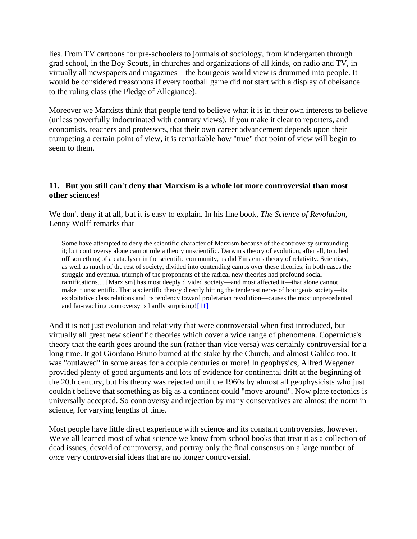lies. From TV cartoons for pre-schoolers to journals of sociology, from kindergarten through grad school, in the Boy Scouts, in churches and organizations of all kinds, on radio and TV, in virtually all newspapers and magazines—the bourgeois world view is drummed into people. It would be considered treasonous if every football game did not start with a display of obeisance to the ruling class (the Pledge of Allegiance).

Moreover we Marxists think that people tend to believe what it is in their own interests to believe (unless powerfully indoctrinated with contrary views). If you make it clear to reporters, and economists, teachers and professors, that their own career advancement depends upon their trumpeting a certain point of view, it is remarkable how "true" that point of view will begin to seem to them.

#### **11. But you still can't deny that Marxism is a whole lot more controversial than most other sciences!**

We don't deny it at all, but it is easy to explain. In his fine book, *The Science of Revolution,* Lenny Wolff remarks that

Some have attempted to deny the scientific character of Marxism because of the controversy surrounding it; but controversy alone cannot rule a theory unscientific. Darwin's theory of evolution, after all, touched off something of a cataclysm in the scientific community, as did Einstein's theory of relativity. Scientists, as well as much of the rest of society, divided into contending camps over these theories; in both cases the struggle and eventual triumph of the proponents of the radical new theories had profound social ramifications.... [Marxism] has most deeply divided society—and most affected it—that alone cannot make it unscientific. That a scientific theory directly hitting the tenderest nerve of bourgeois society—its exploitative class relations and its tendency toward proletarian revolution—causes the most unprecedented and far-reaching controversy is hardly surprising[!\[11\]](https://www.massline.org/Philosophy/ScottH/MLM_sci.htm#n11)

And it is not just evolution and relativity that were controversial when first introduced, but virtually all great new scientific theories which cover a wide range of phenomena. Copernicus's theory that the earth goes around the sun (rather than vice versa) was certainly controversial for a long time. It got Giordano Bruno burned at the stake by the Church, and almost Galileo too. It was "outlawed" in some areas for a couple centuries or more! In geophysics, Alfred Wegener provided plenty of good arguments and lots of evidence for continental drift at the beginning of the 20th century, but his theory was rejected until the 1960s by almost all geophysicists who just couldn't believe that something as big as a continent could "move around". Now plate tectonics is universally accepted. So controversy and rejection by many conservatives are almost the norm in science, for varying lengths of time.

Most people have little direct experience with science and its constant controversies, however. We've all learned most of what science we know from school books that treat it as a collection of dead issues, devoid of controversy, and portray only the final consensus on a large number of *once* very controversial ideas that are no longer controversial.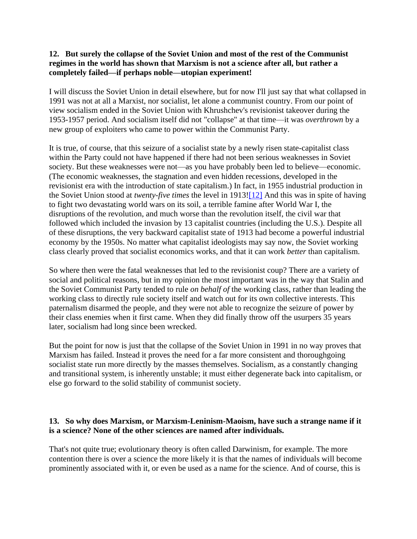#### **12. But surely the collapse of the Soviet Union and most of the rest of the Communist regimes in the world has shown that Marxism is not a science after all, but rather a completely failed—if perhaps noble—utopian experiment!**

I will discuss the Soviet Union in detail elsewhere, but for now I'll just say that what collapsed in 1991 was not at all a Marxist, nor socialist, let alone a communist country. From our point of view socialism ended in the Soviet Union with Khrushchev's revisionist takeover during the 1953-1957 period. And socialism itself did not "collapse" at that time—it was *overthrown* by a new group of exploiters who came to power within the Communist Party.

It is true, of course, that this seizure of a socialist state by a newly risen state-capitalist class within the Party could not have happened if there had not been serious weaknesses in Soviet society. But these weaknesses were not—as you have probably been led to believe—economic. (The economic weaknesses, the stagnation and even hidden recessions, developed in the revisionist era with the introduction of state capitalism.) In fact, in 1955 industrial production in the Soviet Union stood at *twenty-five times* the level in 1913[!\[12\]](https://www.massline.org/Philosophy/ScottH/MLM_sci.htm#n12) And this was in spite of having to fight two devastating world wars on its soil, a terrible famine after World War I, the disruptions of the revolution, and much worse than the revolution itself, the civil war that followed which included the invasion by 13 capitalist countries (including the U.S.). Despite all of these disruptions, the very backward capitalist state of 1913 had become a powerful industrial economy by the 1950s. No matter what capitalist ideologists may say now, the Soviet working class clearly proved that socialist economics works, and that it can work *better* than capitalism.

So where then were the fatal weaknesses that led to the revisionist coup? There are a variety of social and political reasons, but in my opinion the most important was in the way that Stalin and the Soviet Communist Party tended to rule *on behalf of* the working class, rather than leading the working class to directly rule society itself and watch out for its own collective interests. This paternalism disarmed the people, and they were not able to recognize the seizure of power by their class enemies when it first came. When they did finally throw off the usurpers 35 years later, socialism had long since been wrecked.

But the point for now is just that the collapse of the Soviet Union in 1991 in no way proves that Marxism has failed. Instead it proves the need for a far more consistent and thoroughgoing socialist state run more directly by the masses themselves. Socialism, as a constantly changing and transitional system, is inherently unstable; it must either degenerate back into capitalism, or else go forward to the solid stability of communist society.

# **13. So why does Marxism, or Marxism-Leninism-Maoism, have such a strange name if it is a science? None of the other sciences are named after individuals.**

That's not quite true; evolutionary theory is often called Darwinism, for example. The more contention there is over a science the more likely it is that the names of individuals will become prominently associated with it, or even be used as a name for the science. And of course, this is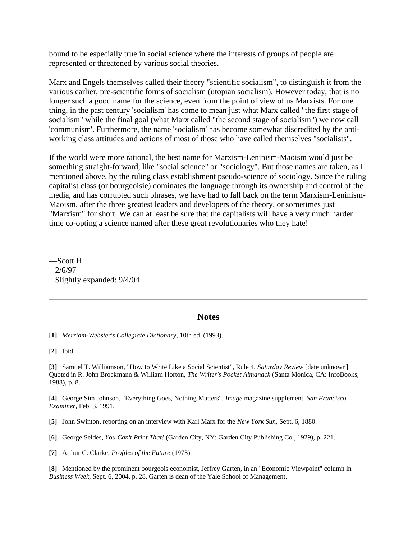bound to be especially true in social science where the interests of groups of people are represented or threatened by various social theories.

Marx and Engels themselves called their theory "scientific socialism", to distinguish it from the various earlier, pre-scientific forms of socialism (utopian socialism). However today, that is no longer such a good name for the science, even from the point of view of us Marxists. For one thing, in the past century 'socialism' has come to mean just what Marx called "the first stage of socialism" while the final goal (what Marx called "the second stage of socialism") we now call 'communism'. Furthermore, the name 'socialism' has become somewhat discredited by the antiworking class attitudes and actions of most of those who have called themselves "socialists".

If the world were more rational, the best name for Marxism-Leninism-Maoism would just be something straight-forward, like "social science" or "sociology". But those names are taken, as I mentioned above, by the ruling class establishment pseudo-science of sociology. Since the ruling capitalist class (or bourgeoisie) dominates the language through its ownership and control of the media, and has corrupted such phrases, we have had to fall back on the term Marxism-Leninism-Maoism, after the three greatest leaders and developers of the theory, or sometimes just "Marxism" for short. We can at least be sure that the capitalists will have a very much harder time co-opting a science named after these great revolutionaries who they hate!

—Scott H. 2/6/97 Slightly expanded: 9/4/04

#### **Notes**

**[1]** *Merriam-Webster's Collegiate Dictionary,* 10th ed. (1993).

**[2]** Ibid.

**[3]** Samuel T. Williamson, "How to Write Like a Social Scientist", Rule 4, *Saturday Review* [date unknown]. Quoted in R. John Brockmann & William Horton, *The Writer's Pocket Almanack* (Santa Monica, CA: InfoBooks, 1988), p. 8.

**[4]** George Sim Johnson, "Everything Goes, Nothing Matters", *Image* magazine supplement, *San Francisco Examiner,* Feb. 3, 1991.

**[5]** John Swinton, reporting on an interview with Karl Marx for the *New York Sun,* Sept. 6, 1880.

**[6]** George Seldes, *You Can't Print That!* (Garden City, NY: Garden City Publishing Co., 1929), p. 221.

**[7]** Arthur C. Clarke, *Profiles of the Future* (1973).

**[8]** Mentioned by the prominent bourgeois economist, Jeffrey Garten, in an "Economic Viewpoint" column in *Business Week*, Sept. 6, 2004, p. 28. Garten is dean of the Yale School of Management.